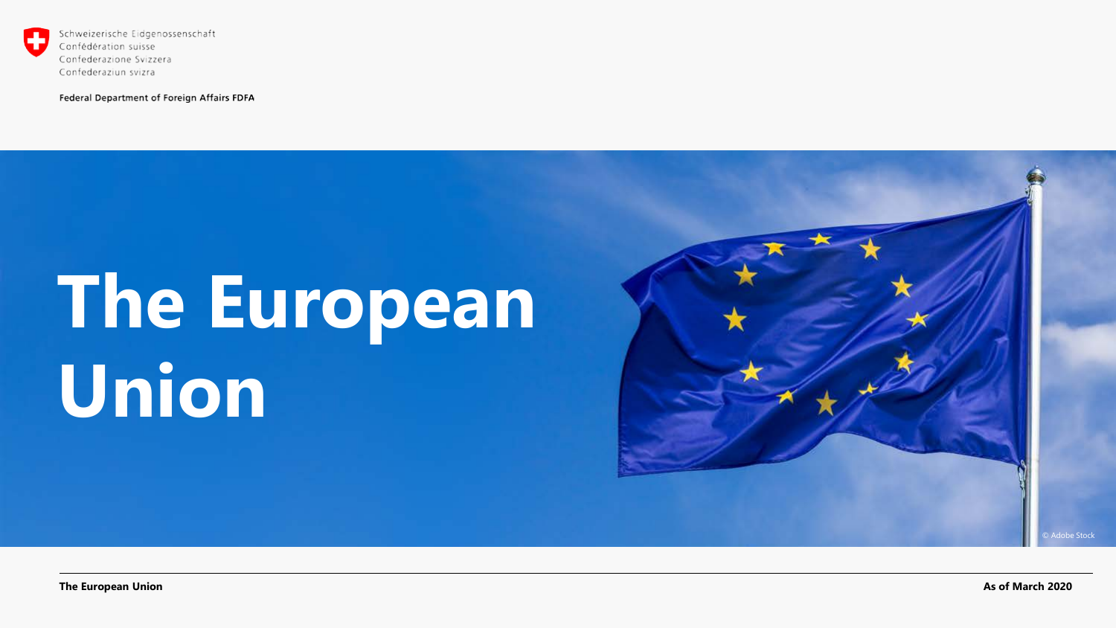

Confederazione Svizzera Confederaziun svizra

Federal Department of Foreign Affairs FDFA

# **The European Union**

© Adobe Stock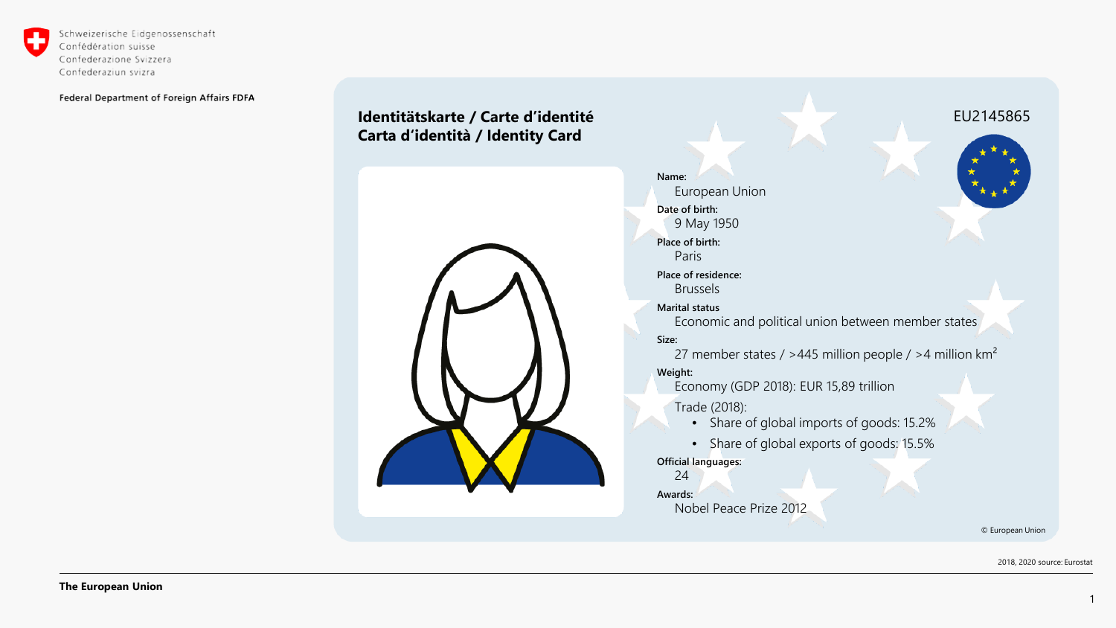

Schweizerische Eidgenossenschaft Confédération suisse Confederazione Svizzera Confederaziun svizra

Federal Department of Foreign Affairs FDFA

### **Identitätskarte / Carte d'identité Carta d'identità / Identity Card**



**Name:** European Union **Date of birth:** 9 May 1950 **Place of birth:** Paris **Place of residence:** Brussels **Marital status** Economic and political union between member states **Size:** 27 member states / >445 million people / >4 million km<sup>2</sup> **Weight:** Economy (GDP 2018): EUR 15,89 trillion Trade (2018): • Share of global imports of goods: 15.2% • Share of global exports of goods: 15.5% **Official languages:** 24 **Awards:** Nobel Peace Prize 2012 © European Union EU2145865

2018, 2020 source: Eurostat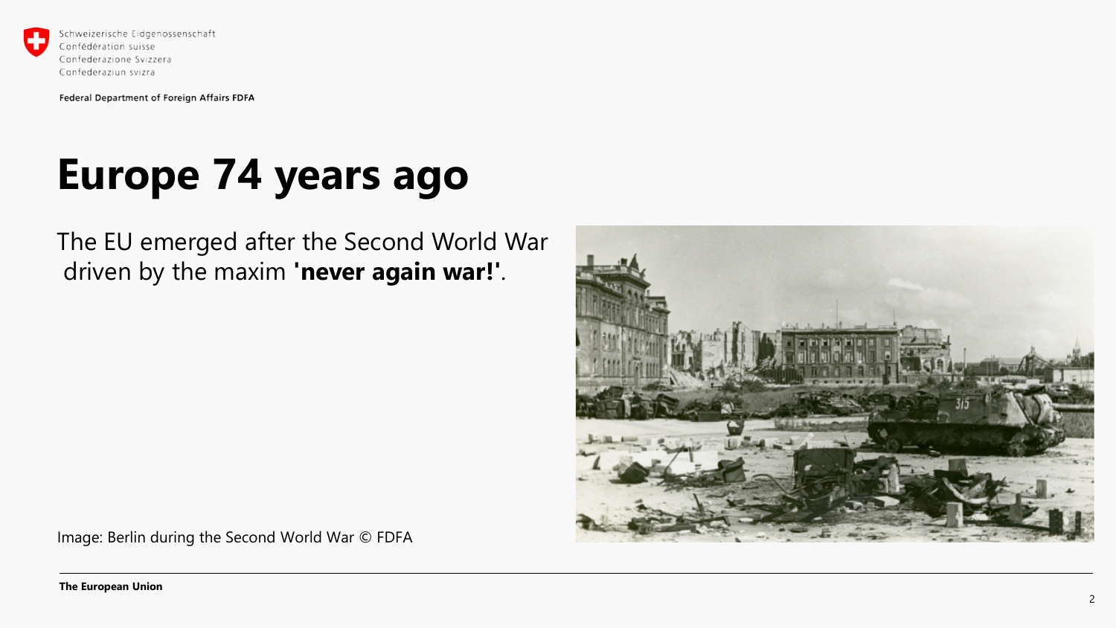

## **Europe 74 years ago**

The EU emerged after the Second World War driven by the maxim **'never again war!'**.



Image: Berlin during the Second World War © FDFA

**The European Union**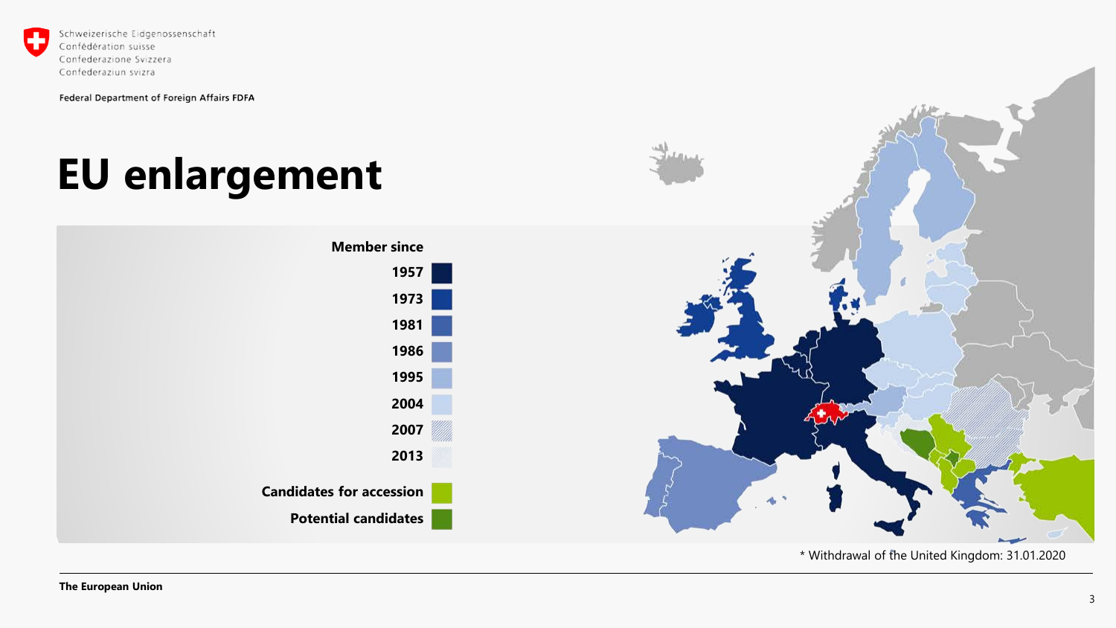

# **EU enlargement**



\* Withdrawal of the United Kingdom: 31.01.2020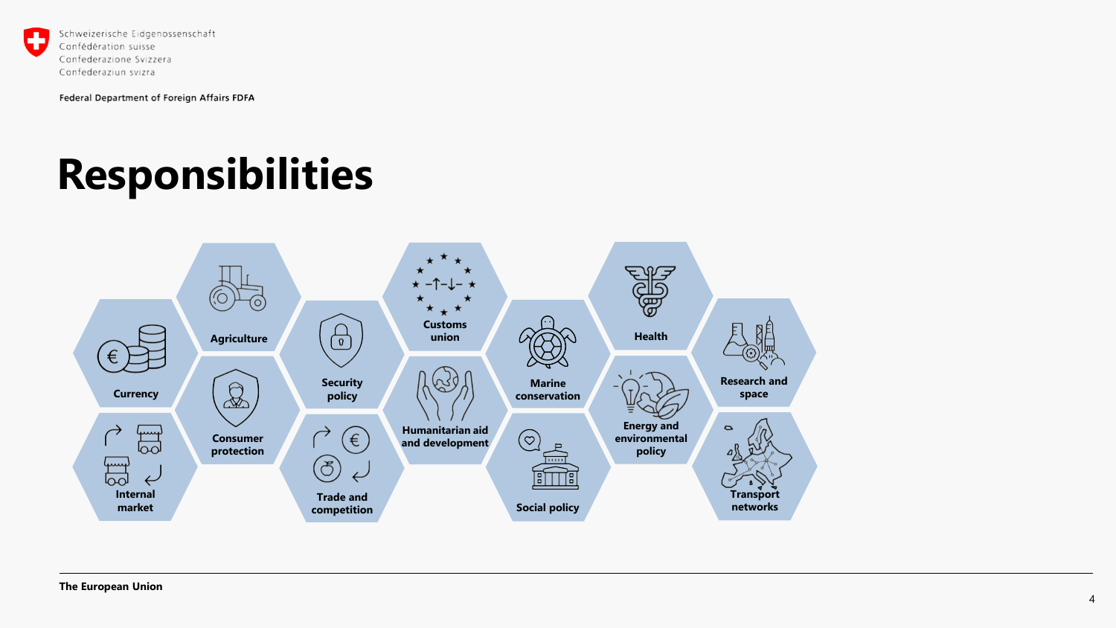

# **Responsibilities**

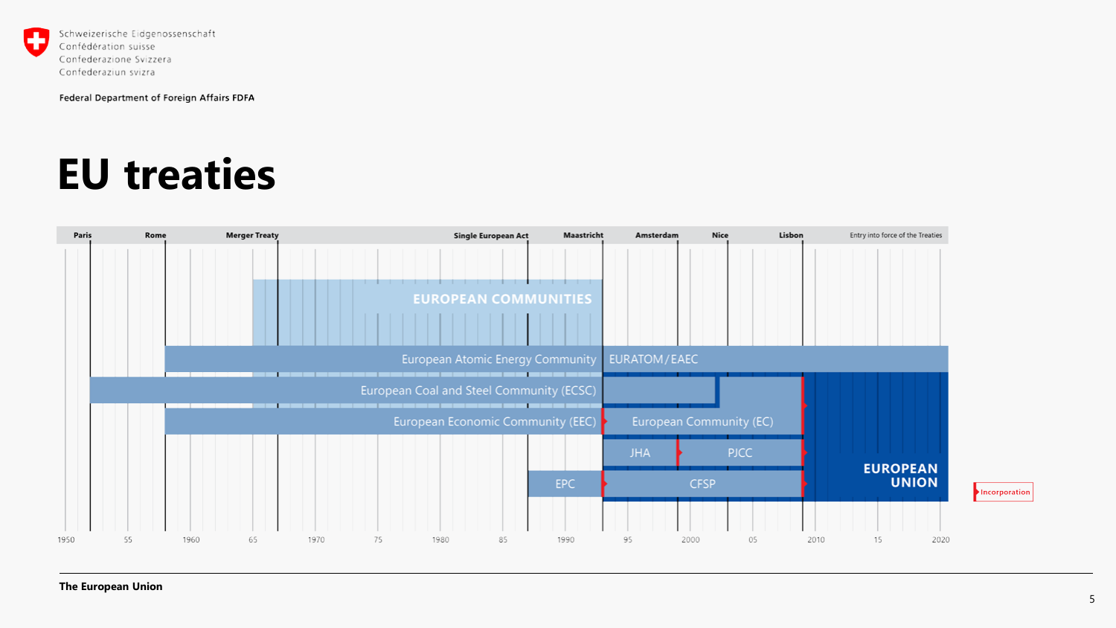

### **EU treaties**

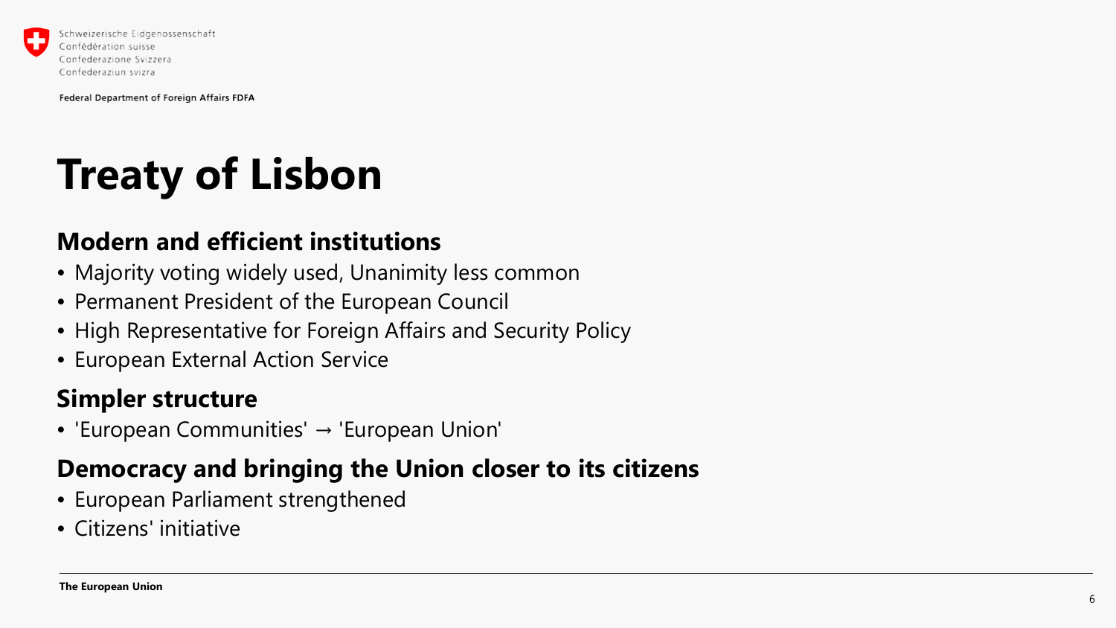

Confederaziun svizra

Federal Department of Foreign Affairs FDFA

# **Treaty of Lisbon**

### **Modern and efficient institutions**

- Majority voting widely used, Unanimity less common
- Permanent President of the European Council
- High Representative for Foreign Affairs and Security Policy
- European External Action Service

### **Simpler structure**

• 'European Communities' → 'European Union'

### **Democracy and bringing the Union closer to its citizens**

- European Parliament strengthened
- Citizens' initiative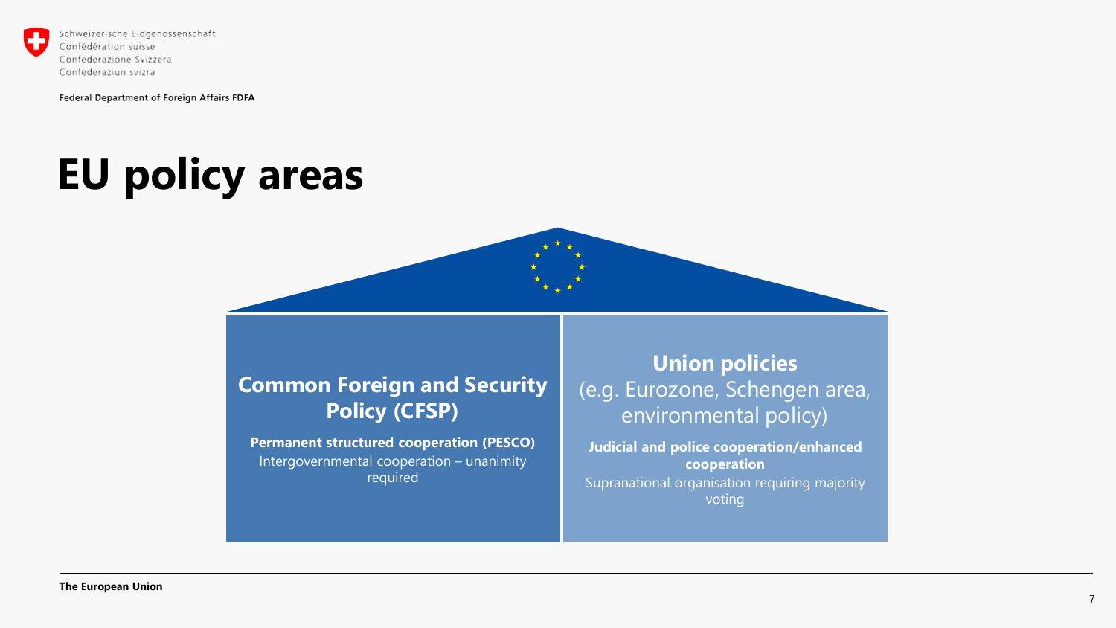

# **EU policy areas**



### **Common Foreign and Security Policy (CFSP)**

**Permanent structured cooperation (PESCO)** Intergovernmental cooperation – unanimity required

### **Union policies** (e.g. Eurozone, Schengen area, environmental policy)

**Judicial and police cooperation/enhanced cooperation** Supranational organisation requiring majority voting

**The European Union**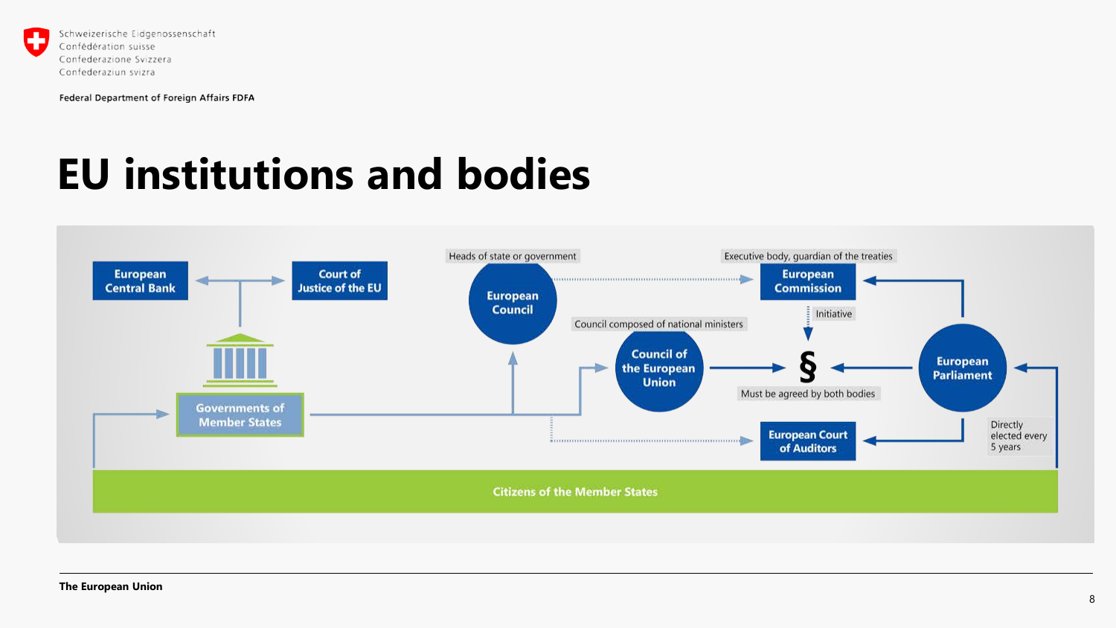

## **EU institutions and bodies**

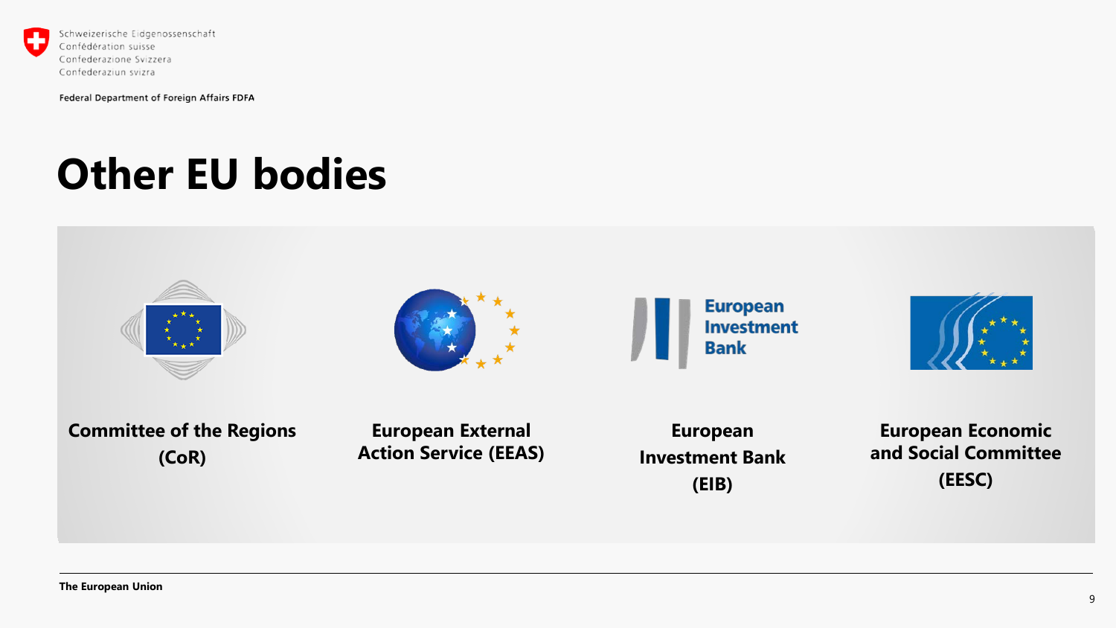

# **Other EU bodies**

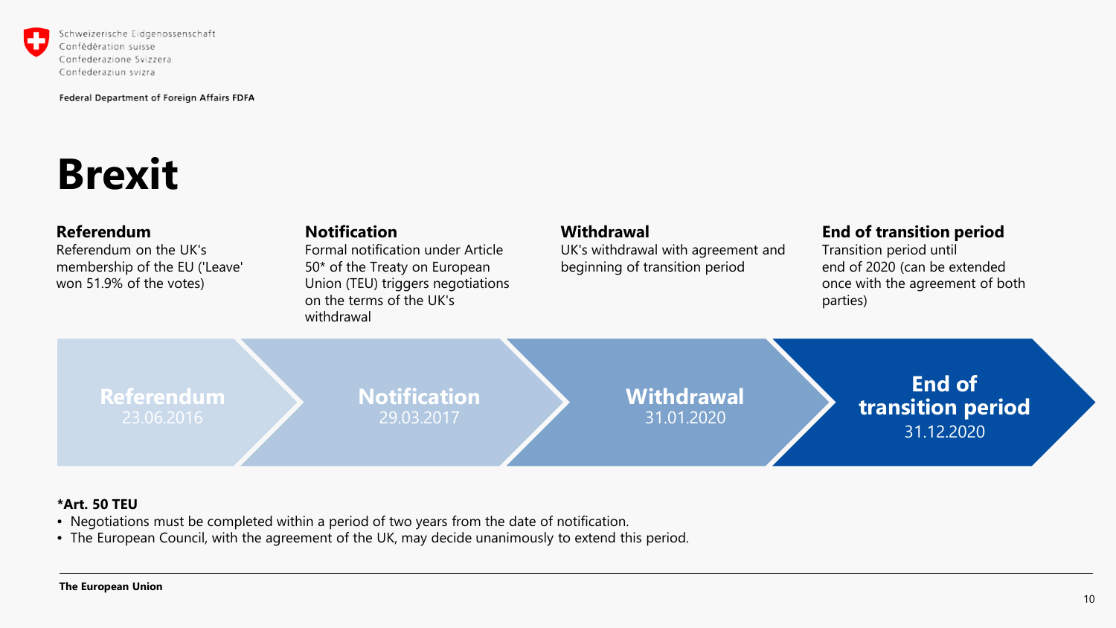

Schweizerische Eidgenossenschaft Confédération suisse Confederazione Svizzera Confederaziun svizra

Federal Department of Foreign Affairs FDFA

## **Brexit**

#### **Referendum**

Referendum on the UK's membership of the EU ('Leave' won 51.9% of the votes)

#### **Notification**

Formal notification under Article 50\* of the Treaty on European Union (TEU) triggers negotiations on the terms of the UK's withdrawal

#### **Withdrawal**

UK's withdrawal with agreement and beginning of transition period

#### **End of transition period**

Transition period until end of 2020 (can be extended once with the agreement of both parties)

**Referendum**

### **Notification** 29.03.2017

**Withdrawal** 31.01.2020

**End of transition period** 31.12.2020

#### **\*Art. 50 TEU**

- Negotiations must be completed within a period of two years from the date of notification.
- The European Council, with the agreement of the UK, may decide unanimously to extend this period.